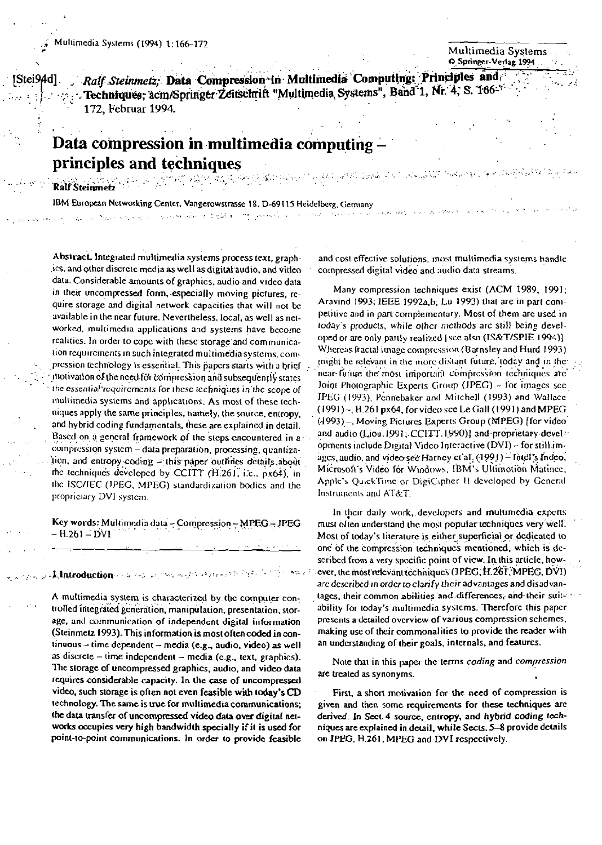Multimedia Systems O Springer-Verlag 1994

Ralf Steinmetz; Data Compression in Multimedia Computing: Principles and Techniques; acm/Springer Zeitschrift "Multimedia Systems", Band 1, Nr. 4, S. 166-172. Februar 1994.

## Data compression in multimedia computing principles and techniques

200 학교로 작가 없어요~

 $\psi$  are given any  $\psi_{\alpha}^{(0)}$  .

**Ralf Steinmetz** 

Stei94dl

IBM European Networking Center, Vangerowstrasse 18, D-69115 Heidelberg, Germany

Abstract. Integrated multimedia systems process text, graphics, and other discrete media as well as digital audio, and video data. Considerable amounts of graphics, audio and video data in their uncompressed form, especially moving pictures, require storage and digital network capacities that will not be available in the near future. Nevertheless, local, as well as networked, multimedia applications and systems have become realities. In order to cope with these storage and communication requirements in such integrated multimedia systems, compression technology is essential. This papers starts with a brief inotivation of the need for compression and subsequently states the essential requirements for these techniques in the scope of multimedia systems and applications. As most of these techniques apply the same principles, namely, the source, entropy, and hybrid coding fundamentals, these are explained in detail. Based on a general framework of the steps encountered in a compression system - data preparation, processing, quantization, and entropy coding - this paper outlines details about the techniques developed by CCITT (H.261, i.e., px64), in the ISO/IEC (JPEG, MPEG) standardization bodies and the proprietary DVI system.

Same of the state of the same with the highest of

Key words: Multimedia data - Compression - MPEG - JPEG-– H.261 – DVI 1

**J. Introduction** of the second second to the

A multimedia system is characterized by the computer controlled integrated generation, manipulation, presentation, storage, and communication of independent digital information (Steinmetz 1993). This information is most often coded in con $t_{\text{inuous}} - t_{\text{inc}}$  dependent – media (e.g., audio, video) as well as discrete – time independent – media (e.g., text, graphics). The storage of uncompressed graphics, audio, and video data requires considerable capacity. In the case of uncompressed video, such storage is often not even feasible with today's CD technology. The same is true for multimedia communications: the data transfer of uncompressed video data over digital networks occupies very high bandwidth specially if it is used for point-to-point communications. In order to provide feasible and cost effective solutions, most multimedia systems handle compressed digital video and audio data streams.

Many compression techniques exist (ACM 1989, 1991; Aravind 1993; IEEE 1992a,b; Lu 1993) that are in part competitive and in part complementary. Most of them are used in today's products, while other methods are still being developed or are only partly realized [scc also (IS&T/SPIE 1994)]. Whereas fractal image compression (Barnsley and Hurd 1993). inight be relevant in the more distant future, today and in the near future the most important compression techniques are Joint Photographic Experts Group (JPEG) - for images see JPEG (1993), Pennebaker and Mitchell (1993) and Wallace  $(1991)$  –, H.261 px64, for video scc Le Gall  $(1991)$  and MPEG (4993) -, Moving Pictures Experts Group (MPEG) [for video] and audio (Liou 1991; CCITT 1990)) and proprietary developments include Digital Video Interactive (DVI) - for still images, audio, and video see Harney et al. (1991) - Intel's Indeo, Microsoft's Video for Windows, IBM's Ultimotion Matince, Apple's QuickTime or DigiCipher II developed by General Instruments and AT&T.

In their daily work, developers and multimedia experts must often understand the most popular techniques very well. Most of today's literature is either superficial or dedicated to one of the compression techniques mentioned, which is described from a very specific point of view. In this article, however, the most relevant techniques (JPEG, H.261, MPEG, DVI) are described in order to clarify their advantages and disadvantages, their common abilities and differences, and their suitability for today's multimedia systems. Therefore this paper presents a detailed overview of various compression schemes, making use of their commonalities to provide the reader with an understanding of their goals, internals, and features.

Note that in this paper the terms coding and compression are treated as synonyms.

First, a short motivation for the need of compression is given and then some requirements for these techniques are derived. In Sect. 4 source, entropy, and hybrid coding techniques are explained in detail, while Sects. 5-8 provide details on JPEG, H.261, MPEG and DVI respectively.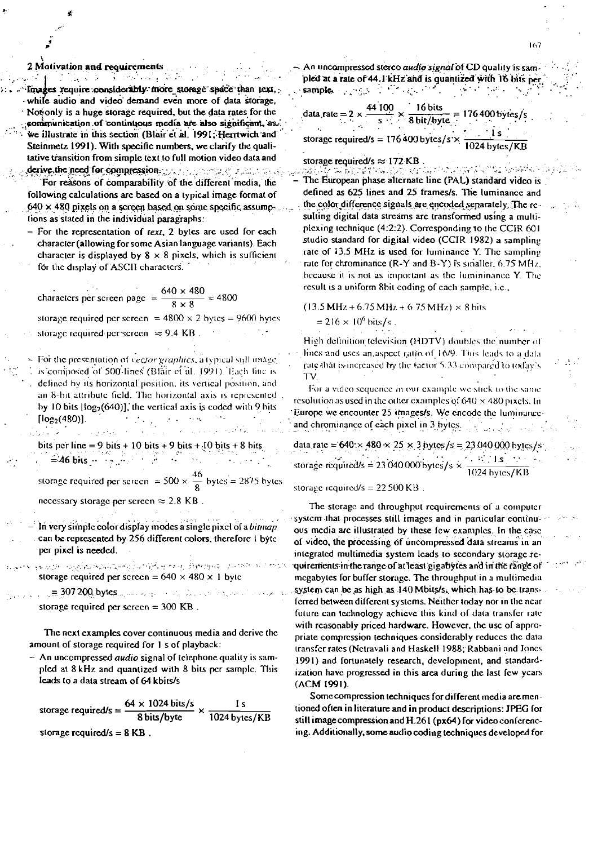#### 2 Motivation and requirements

 $\label{eq:4} \mathcal{L}=\mathcal{L}^{\text{max}}\left(\mathcal{L}^{\text{max}}\right)=\mathcal{L}^{\text{max}}\left(\mathcal{L}^{\text{max}}\right)=\mathcal{L}^{\text{max}}\left(\mathcal{L}^{\text{max}}\right)$ Images require considerably more storage space than text, while audio and video demand even more of data storage, Not only is a huge storage required, but the data rates for the communication of continuous media are also significant as. we illustrate in this section (Blair et al. 1991; Herrtwich and Steinmetz 1991). With specific numbers, we clarify the qualitative transition from simple text to full motion video data and derive the need for compression. The presence of the state

For reasons of comparability of the different media, the following calculations are based on a typical image format of  $640 \times 480$  pixels on a screen based on some specific assumptions as stated in the individual paragraphs:

 $-$  For the representation of text, 2 bytes are used for each character (allowing for some Asian language variants). Each character is displayed by  $8 \times 8$  pixels, which is sufficient for the display of ASCII characters.

characters per screen page =  $\frac{640 \times 480}{8 \times 8}$  = 4800 storage required per screen =  $4800 \times 2$  bytes = 9600 bytes storage required per screen  $\approx$  9.4 KB.

For the presentation of vector graphics, a typical sull image is composed of 500-lines (Blair et al. 1991). Each line is defined by its horizontal position, its vertical position, and an 8-bit attribute field. The horizontal axis is represented by 10 bits [log<sub>2</sub>(640)], the vertical axis is coded with 9 bits  $[log<sub>2</sub>(480)].$ **Contract Contract State** 

= 46 bms  $\cdot \cdot \cdot$  ....<br>storage required per serecn = 500  $\times \frac{46}{8}$  bytes = 2875 bytes

necessary storage per screen  $\approx$  2.8 KB.

In very simple color display modes a single pixel of a bitmap can be represented by 256 different colors, therefore 1 byte per pixel is needed.

المحمد المستحدث المستحدث المستحدث المتحدث المستحدث المستحدث والمستحدث والمستحدث المعاديد المعادل storage required per screen =  $640 \times 480 \times 1$  byte

 $\tau = 307.200$  bytes  $\tau_{\rm{max}}$  and  $\tau_{\rm{max}}$  and  $\tau_{\rm{max}}$  and  $\tau_{\rm{max}}$ storage required per sereen =  $300$  KB.

The next examples cover continuous media and derive the amount of storage required for 1 s of playback:

An uncompressed *audio* signal of telephone quality is sampled at 8 kHz and quantized with 8 bits per sample. This leads to a data stream of 64 kbits/s

storage required/s =  $\frac{64 \times 1024 \text{ bits/s}}{8 \text{ bits/byte}} \times \frac{1 \text{ s}}{1024 \text{ bytes/KB}}$ storage required/s =  $8$  KB.

An uncompressed stereo audio signal of CD quality is sampled at a rate of 44.1 kHz and is quantized with 16 bits per sample, a sign of the grant of the state

data rate =  $2 \times \frac{44\,100}{s} \times \frac{16\,bits}{8\,bit/byte} = 176\,400\,bytes/s$ <br>storage required/s = 176 400 bytes/s  $\times \frac{1\,s}{1024\,bytes/KB}$ 

#### storage required/s  $\approx$  172 KB

an song til men spring The European phase alternate line (PAL) standard video is defined as 625 lines and 25 frames/s. The luminance and the color difference signals are encoded separately. The resulting digital data streams are transformed using a multiplexing technique (4:2:2). Corresponding to the CCIR 601 studio standard for digital video (CCIR 1982) a sampling rate of 13.5 MHz is used for luminance Y. The sampling rate for chrominance (R-Y and B-Y) is sinaller, 6.75 MHz, because it is not as important as the lumininance Y. The result is a uniform 8bit coding of each sample, i.e.,

 $(13.5 MHz + 6.75 MHz + 6.75 MHz) \times 8 bits$ 

 $= 216 \times 10^6$  bits/s.

High definition television (HDTV) doubles the number of lines and uses an aspect ratio of 16/9. This leads to a data rate that is increased by the factor 5.33 compared to today's TV.

For a video sequence in our example we stick to the same resolution as used in the other examples of  $640 \times 480$  pixels. In Europe we encounter 25 images/s. We encode the luminanceand chrominance of each pixel in 3 bytes.

data rate = 640:× 480 × 25 × 3 bytes/s = 23 040 000 bytes/s<br>storage required/s = 23 040 000 bytes/s ×  $\frac{12}{1024}$  bytes/KB

storage required/s =  $22500$  KB.

The storage and throughput requirements of a computer system that processes still images and in particular continuous media are illustrated by these few examples. In the case of video, the processing of uncompressed data streams in an integrated multimedia system leads to secondary storage requirements in the range of at least gigabytes and in the range of megabytes for buffer storage. The throughput in a multimedia system can be as high as 140 Mbits/s, which has to be transferred between different systems. Neither today nor in the near future can technology achieve this kind of data transfer rate with reasonably priced hardware. However, the usc of appropriate compression techniques considerably reduces the data transfer rates (Netravali and Haskell 1988; Rabbani and Jones 1991) and fortunately research, development, and standardization have progressed in this area during the last few years (ACM 1991).

Some compression techniques for different media are mentioned often in literature and in product descriptions: JPEG for still image compression and H.261 (px64) for video conferencing. Additionally, some audio coding techniques developed for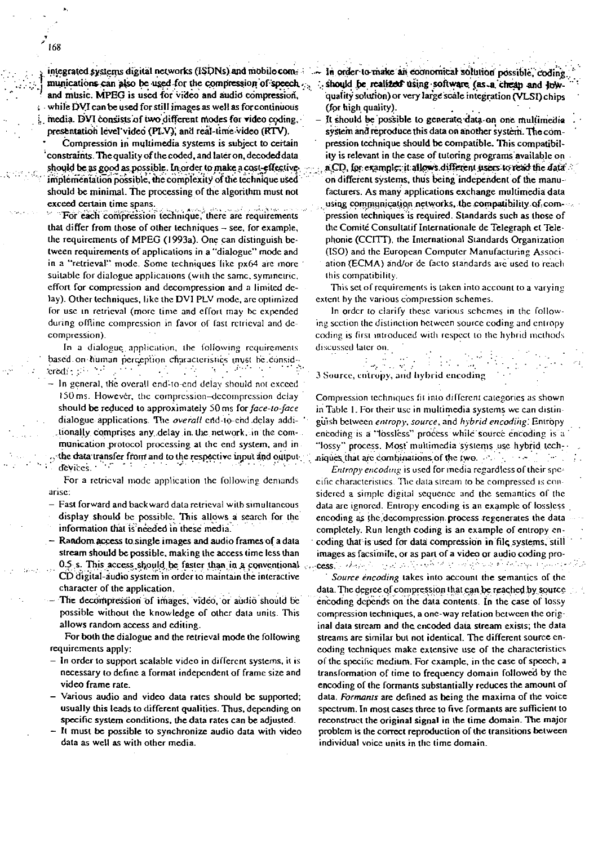integrated systems digital networks (ISDNs) and mobile communications can also be used for the compression of speech. and music. MPEG is used for video and audio compression. while DVI can be used for still images as well as for continuous media. DVI consists of two different modes for video coding. presentation level video (PLV), and real-time video (RTV).

Compression in multimedia systems is subject to certain constraints. The quality of the coded, and later on, decoded data should be as good as possible. In order to make a cost-effectiveimplementation possible, the complexity of the technique used should be minimal. The processing of the algorithm must not exceed certain time spans.

For each compression technique, there are requirements that differ from those of other techniques  $-$  see, for example, the requirements of MPEG (1993a). One can distinguish between requirements of applications in a "dialogue" mode and in a "retrieval" mode. Some techniques like px64 are more suitable for dialogue applications (with the same, symmetric, effort for compression and decompression and a limited delay). Other techniques, like the DVI PLV mode, are optimized for use in retrieval (more time and effort may be expended during offline compression in favor of fast retrieval and decompression).

In a dialogue application, the following requirements based on human perception characteristics inust be consid- $\mathsf{cred}_1$  , where  $\mathsf{ccl}_2$  is a set of  $\mathsf{ccl}_2$  , where  $\mathsf{ccl}_2$  is a set of  $\mathsf{ccl}_2$ 

- In general, the overall end-to-end delay should not exceed 150 ms. However, the compression-decompression delay should be reduced to approximately 50 ms for face-to-face dialogue applications. The overall end-to-end delay additionally comprises any delay in the network, in the communication protocol processing at the end system, and inthe data transfer from and to the respective input and output. devices.  $\frac{1}{2}$   $\frac{1}{2}$   $\frac{1}{2}$   $\frac{1}{2}$   $\frac{1}{2}$   $\frac{1}{2}$ 

For a retrieval mode application the following demands arise:

- Fast forward and back ward data retrieval with simultaneous display should be possible. This allows a search for the information that is needed in these media.
- Random access to single images and audio frames of a data stream should be possible, making the access time less than 0.5 s. This access should be faster than in a conventional
- CD digital-audio system in order to maintain the interactive character of the application.
- The decompression of images, video, or audio should be possible without the knowledge of other data units. This allows random access and editing.

For both the dialogue and the retrieval mode the following requirements apply:

- In order to support scalable video in different systems, it is necessary to define a format independent of frame size and video frame rate.
- Various audio and video data rates should be supported; usually this leads to different qualities. Thus, depending on specific system conditions, the data rates can be adjusted.
- It must be possible to synchronize audio data with video data as well as with other media.

In order to make an economical solution possible, coding should be realized using software (as a cheap and lowquality solution) or very large scale integration (VLSI) chips (for high quality).

It should be possible to generate data on one multimedia system and reproduce this data on another system. The compression technique should be compatible. This compatibility is relevant in the case of tutoring programs available on a CD, for example, it allows different users to read the data on different systems, thus being independent of the manufacturers. As many applications exchange multimedia data using communication networks, the compatibility of compression techniques is required. Standards such as those of the Comité Consultatif Internationale de Telegraph et Telephonic (CCITT), the International Standards Organization (ISO) and the European Computer Manufacturing Association (ECMA) and/or de facto standards are used to reach this compatibility.

This set of requirements is taken into account to a varying extent by the various compression schemes.

In order to clarify these various schemes in the following section the distinction between source coding and entropy coding is first introduced with respect to the hybrid methods discussed later on.

## $\frac{1}{2} \sum_{i=1}^{N} \frac{1}{N_i}$  . 3 Source, entropy, and hybrid encoding

Compression techniques fit into different categories as shown in Table 1. For their use in multimedia systems we can distinguish between entropy, source, and hybrid encoding. Entropy encoding is a "lossless" process while source encoding is a "lossy" process. Most multimedia systems use hybrid techniques that are combinations of the two.

Entropy encoding is used for media regardless of their specific characteristics. The data stream to be compressed is considered a simple digital sequence and the semantics of the data are ignored. Entropy encoding is an example of lossless encoding as the decompression process regenerates the data completely. Run length coding is an example of entropy encoding that is used for data compression in file systems, still images as facsimile, or as part of a video or audio coding pro-**;cess.** ) અને તેમ જ પ્રાપ્ય પ્રાપ્ય નિર્ણય જ પ્રાપ્ય મુખ્ય માટે અપાસના જિલ્લામાં આવે

Source encoding takes into account the semantics of the data. The degree of compression that can be reached by source encoding depends on the data contents. In the case of lossy compression techniques, a one-way relation between the original data stream and the encoded data stream exists; the data streams are similar but not identical. The different source eneoding techniques make extensive use of the characteristics of the specific medium. For example, in the case of speech, a transformation of time to frequency domain followed by the encoding of the formants substantially reduces the amount of data. Formants are defined as being the maxima of the voice spectrum. In most cases three to five formants are sufficient to reconstruct the original signal in the time domain. The major problem is the correct reproduction of the transitions between individual voice units in the time domain.

168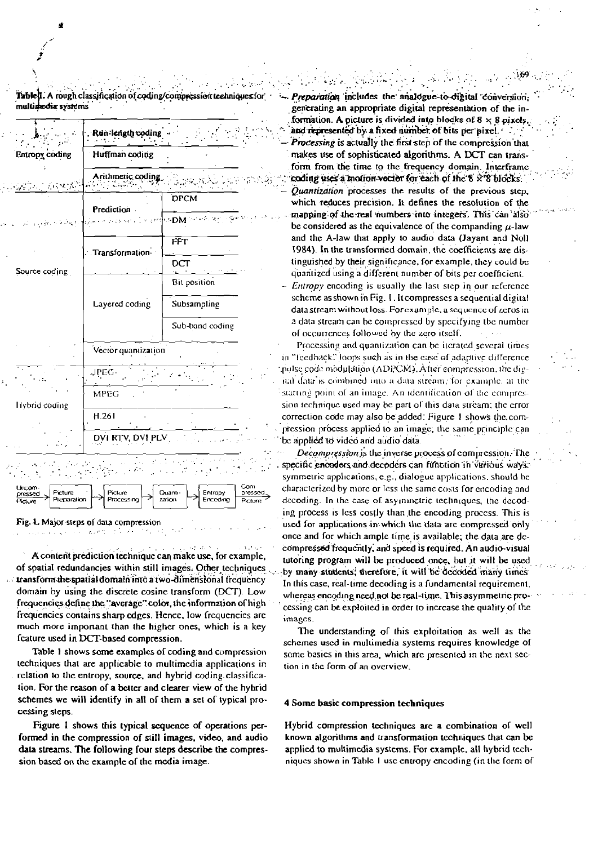Tablell. A rough classification of coding/compression techniques for multimedia systems

|                | Run-length coding                   |                                    |
|----------------|-------------------------------------|------------------------------------|
| Entropy coding | Huffman coding                      |                                    |
| <b>STARTS</b>  | Arithmetic coding<br><b>ALCOHOL</b> |                                    |
|                | Prediction                          | <b>DPCM</b>                        |
| Source coding  |                                     | 计运输 海产 化塑料架<br>∝ seest <b>DM</b> * |
|                | . Transformation                    | <b>FFT</b>                         |
|                |                                     | DCT                                |
|                |                                     | Bit position                       |
|                | Layered coding                      | Subsampling                        |
|                |                                     | Sub-band coding                    |
|                | Vector quantization                 |                                    |
|                | ni.c.                               |                                    |
|                | <b>MPEG</b>                         |                                    |
| Hybrid coding  | H.261                               |                                    |
|                | DVI RTV, DVI PLV                    |                                    |
|                |                                     |                                    |

<sup>2</sup>rocessing

Fig. 1. Major steps of data compression

Preparation

A content prediction technique can make use, for example, of spatial redundancies within still images. Other techniques transform the spatial domain into a two-dimensional frequency domain by using the discrete cosine transform (DCT). Low frequencies define the "average" color, the information of high frequencies contains sharp edges. Hence, low frequencies are much more important than the higher ones, which is a key feature used in DCT-based compression.

Quanti-

zation

Entropy

Ercoding

 $\mathcal{L}$  ,  $\mathcal{L}$ 

Table 1 shows some examples of coding and compression techniques that are applicable to multimedia applications in relation to the entropy, source, and hybrid coding classification. For the reason of a better and clearer view of the hybrid schemes we will identify in all of them a set of typical processing steps.

Figure 1 shows this typical sequence of operations performed in the compression of still images, video, and audio data streams. The following four steps describe the compression based on the example of the media image.

Preparation includes the analogue-to-digital conversion. generating an appropriate digital representation of the information. A picture is divided into blocks of  $8 \times 8$  pixels, and represented by a fixed number of bits per pixel. Processing is actually the first step of the compression that makes use of sophisticated algorithms. A DCT can transform from the time to the frequency domain. Interframe coding uses a motion vector for each of the 8 x 8 blocks.  $\ddot{O}$ uantization processes the results of the previous step, which reduces precision. It defines the resolution of the mapping of the real numbers into integers. This can also be considered as the equivalence of the companding  $\mu$ -law and the A-law that apply to audio data (Jayant and Noll 1984). In the transformed domain, the coefficients are distinguished by their significance, for example, they could be quantized using a different number of bits per coefficient.  $-$  *Entropy* encoding is usually the last step in our reference scheme as shown in Fig. 1. It compresses a sequential digital data stream without loss. For example, a sequence of zeros in a data stream can be compressed by specifying the number

of occurrences followed by the zero itself. Processing and quantization can be iterated several times in "leedback" loops such as in the case of adaptive difference pulse code modulation (ADPCM). After compression, the digjuil data is combined into a data stream, for example, at the starting point of an image. An identification of the compression technique used may be part of this data stream; the error correction code may also be added: Figure 1 shows the compression process applied to an image, the same principle can

be applied to video and audio data.

Decompression is the inverse process of compression. The specific encoders and decoders can function in various ways: symmetric applications, e.g., dialogue applications, should be characterized by more or less the same costs for encoding and decoding. In the case of asymmetric techniques, the decoding process is less costly than the encoding process. This is used for applications in which the data are compressed only once and for which ample time is available; the data are decompressed frequently, and speed is required. An audio-visual tutoring program will be produced once, but it will be used by many students, therefore, it will be decoded many times In this case, real-time decoding is a fundamental requirement, whereas encoding need not be real-time. This asymmetric processing can be exploited in order to increase the quality of the images.

The understanding of this exploitation as well as the schemes used in multimedia systems requires knowledge of some basies in this area, which are presented in the next section in the form of an overview.

#### 4 Some basic compression techniques

Hybrid compression techniques are a combination of well known algorithms and transformation techniques that can be applied to multimedia systems. For example, all hybrid techniques shown in Table 1 use entropy encoding (in the form of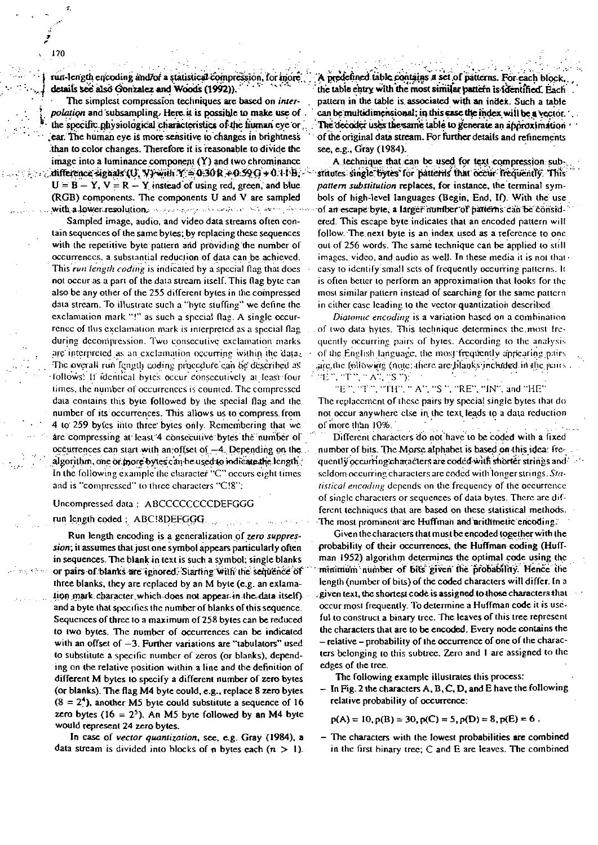run-length encoding and/of a statistical compression, for more details see also Gonzalez and Woods (1992)).

The simplest compression techniques are based on interpolation and subsampling. Here it is possible to make use of the specific physiological characteristics of the human eye or ear. The human eye is more sensitive to changes in brightness than to color changes. Therefore it is reasonable to divide the  $i$ mage into a luminance component  $(Y)$  and two chrominance difference signals (U, V) with  $Y = 0.30$  R + 0.59 G + 0.11 B.  $U = B - Y$ ,  $V = R - Y$  instead of using red, green, and blue (RGB) components. The components U and V are sampled with a lower resolution. A state of the change of the layer planned

Sampled image, audio, and video data streams often contain sequences of the same bytes; by replacing these sequences with the repetitive byte pattern and providing the number of occurrences, a substantial reduction of data can be achieved. This run length coding is indicated by a special flag that does not occur as a part of the data stream itself. This flag byte can also be any other of the 255 different bytes in the compressed data stream. To illustrate such a "byte stuffing" we define the exclamation mark "!" as such a special flag. A single occurrence of this exclamation mark is interpreted as a special flag during decompression. Two consecutive exclamation marks are interpreted as an exclamation occurring within the data. The overall run length coding procedure can be described as follows: If identical bytes occur consecutively at least four times, the number of occurrences is counted. The compressed data contains this byte followed by the special flag and the number of its occurrences. This allows us to compress from 4 to 259 bytes into three bytes only. Remembering that we are compressing at least 4 consecutive bytes the number of occurrences can start with an offset of -4. Depending on the algorithm, one or more bytes can be used to indicate the length. In the following example the character "C" occurs eight times and is "compressed" to three characters "C!8":

### Uncompressed data: ABCCCCCCCCDEFGGG

#### run length coded: ABC!8DEEGGG.

Run length encoding is a generalization of zero suppression; it assumes that just one symbol appears particularly often in sequences. The blank in text is such a symbol; single blanks or pairs of blanks are ignored. Starting with the sequence of three blanks, they are replaced by an M byte (e.g. an exlamation mark character which does not appear in the data itself) and a byte that specifies the number of blanks of this sequence. Sequences of three to a maximum of 258 bytes can be reduced to two bytes. The number of occurrences can be indicated with an offset of  $-3$ . Further variations are "tabulators" used to substitute a specific number of zeros (or blanks), depending on the relative position within a line and the definition of different M bytes to specify a different number of zero bytes (or blanks). The flag M4 byte could, e.g., replace 8 zero bytes  $(8 = 2<sup>4</sup>)$ , another M5 byte could substitute a sequence of 16 zero bytes  $(16 = 2<sup>5</sup>)$ . An M5 byte followed by an M4 byte would represent 24 zero bytes.

In case of vector quantization, see, e.g. Gray (1984), a data stream is divided into blocks of n bytes each  $(n > 1)$ .

A predefined table contains a set of patterns. For each block, the table entry with the most similar pattern is identified. Each pattern in the table is associated with an index. Such a table can be multidimensional; in this case the index will be a vector. The decoder uses the same table to generate an approximation . of the original data stream. For further details and refinements see, e.g., Gray (1984).

A technique that can be used for text compression substitutes single bytes for patterns that occur frequently. This pattern substitution replaces, for instance, the terminal symbols of high-level languages (Begin, End, If). With the use of an escape byte, a larger number of patierns can be considered. This escape byte indicates that an encoded pattern will follow. The next byte is an index used as a reference to one out of 256 words. The same technique can be applied to still images, video, and audio as well. In these media it is not that casy to identify small sets of frequently occurring patterns. It is often better to perform an approximation that looks for the most similar pattern instead of searching for the same pattern in either case leading to the vector quantization described

Diatomic encoding is a variation based on a combination of two data hytes. This technique determines the most frequently occurring pairs of bytes. According to the analysis of the English language, the most frequently appearing pairs are the following (note: there are blanks included in the pairs. **PET PT ", " A", "S ")** 

"E", "T", "TH", " A", "S", "RE", "IN", and "HE" The replacement of these pairs by special single bytes that do not occur anywhere else in the text leads to a data reduction of more than 10%.

Different characters do not have to be coded with a fixed number of bits. The Morse alphabet is based on this idea: frequently occurring characters are coded with shorter strings and seldom occurring characters are coded with longer strings. Statistical encoding depends on the frequency of the occurrence of single characters or sequences of data bytes. There are different techniques that are based on these statistical methods. The most prominent are Huffman and urithmetic encoding."

Given the characters that must be encoded together with the probability of their occurrences, the Huffman coding (Huffman 1952) algorithm determines the optimal code using the minimum number of bits given the probability. Hence the length (number of bits) of the coded characters will differ. In a given text, the shortest code is assigned to those characters that occur most frequently. To determine a Huffman code it is useful to construct a binary tree. The leaves of this tree represent the characters that are to be encoded. Every node contains the - relative - probability of the occurrence of one of the characters belonging to this subtree. Zero and 1 are assigned to the edges of the tree.

The following example illustrates this process:

 $-$  In Fig. 2 the characters A, B, C, D, and E have the following relative probability of occurrence:

 $p(A) = 10$ ,  $p(B) = 30$ ,  $p(C) = 5$ ,  $p(D) = 8$ ,  $p(E) = 6$ .

- The characters with the lowest probabilities are combined in the first binary tree;  $C$  and  $E$  are leaves. The combined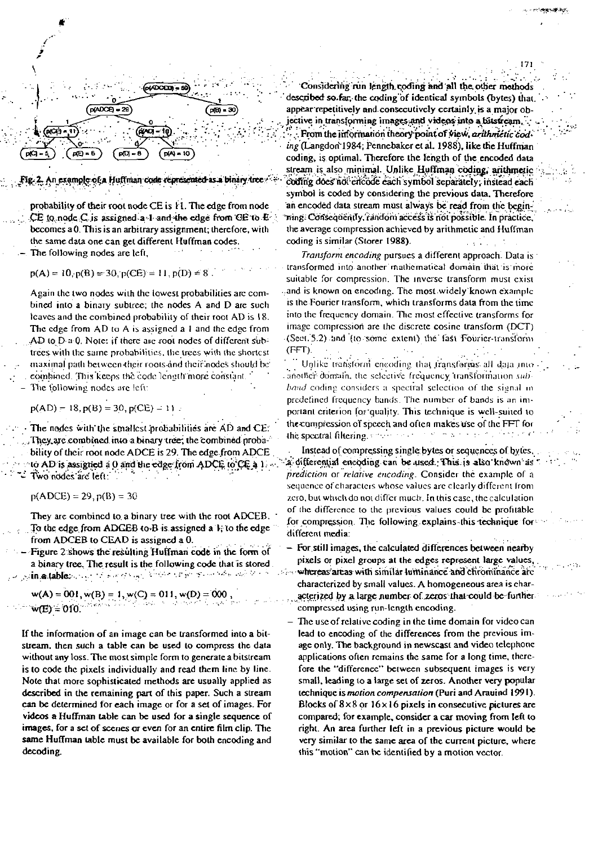



probability of their root node CE is F1. The edge from node CE to node C is assigned a 1 and the edge from GE to E becomes a 0. This is an arbitrary assignment; therefore, with the same data one can get different Huffman codes. The following nodes are left.

 $p(A) = 10$ ,  $p(B) = 30$ ,  $p(CE) = 11$ ,  $p(D) = 8$ .

Again the two nodes with the lowest probabilities are combined into a binary subtree; the nodes A and D are such leaves and the combined probability of their root AD is 18. The edge from AD to A is assigned a 1 and the edge from AD to D a 0. Note: if there are root nodes of different subtrees with the same probabilities, the trees with the shortest maximal path between their roots and their nodes should be combined. This keeps the code length more constant. The following nodes are left:

$$
p(AD) = 18, p(B) = 30, p(CE) = 11.
$$

The nodes with the smallest probabilities are AD and CE: They are combined into a binary tree; the combined probability of their root node ADCE is 29. The edge from ADCE to AD is assigned a 0 and the edge from ADCE to CE a 1. Two nodes are left.

 $p(ADE) = 29, p(B) = 30$ 

They are combined to a binary tree with the root ADCEB. To the edge from ADCEB to B is assigned a V to the edge from ADCEB to CEAD is assigned a 0.

Figure 2 shows the resulting Huffman code in the form of a binary tree. The result is the following code that is stored Sain a table service of states and above a prior services and

 $w(A) = 001$ ,  $w(B) = 1$ ,  $w(C) = 011$ ,  $w(D) = 000$  $w(E) = 010.$ 

If the information of an image can be transformed into a bitstream, then such a table can be used to compress the data without any loss. The most simple form to generate a bitstream is to code the pixels individually and read them line by line. Note that more sophisticated methods are usually applied as described in the remaining part of this paper. Such a stream can be determined for each image or for a set of images. For videos a Huffman table can be used for a single sequence of images, for a set of scenes or even for an entire film clip. The same Huffman table must be available for both encoding and decoding.

Considering run length coding and all the other methods described so far, the coding of identical symbols (bytes) that appear repetitively and consecutively certainly is a major objective in transforming images and videos into a bitstream. From the information theory point of view, arithmétic coding (Langdon 1984; Pennebaker et al. 1988), like the Huffman coding, is optimal. Therefore the length of the encoded data stream is also minimal. Unlike Huffman coding, arithmetic coding does not encode each symbol separately, instead each symbol is coded by considering the previous data. Therefore an encoded data stream must always be read from the beginming. Consequently, random access is not possible. In practice, the average compression achieved by arithmetic and Huffman coding is similar (Storer 1988).

Transform encoding pursues a different approach. Data is transformed into another mathematical domain that is more suitable for compression. The inverse transform must exist and is known on encoding. The most widely known example is the Fourier transform, which transforms data from the time into the frequency domain. The most effective transforms for image compression are the discrete cosine transform (DCT) (Seet. 5.2) and (to some extent) the fast Fourier-transform (FFT).

Unlike transform encoding that transforms all data into another domain, the selective frequency transformation subband coding considers a spectral selection of the signal in predefined frequency bands. The number of bands is an important criterion for quality. This technique is well-suited to the compression of speech and often makes use of the FFT for the spectral filtering. The manner  $\sim$ 

Instead of compressing single bytes or sequences of bytes, a differential encoding can be used. This is also known as prediction or relative encoding. Consider the example of a sequence of characters whose values are clearly different from zero, but which do not differ much. In this case, the calculation of the difference to the previous values could be profitable for compression. The following explains this technique for different media:

 $-$  For still images, the calculated differences between nearby pixels or pixel groups at the edges represent large values, whereas areas with similar luminance and chrominance are characterized by small values. A homogeneous area is characterized by a large number of zeros that could be further compressed using run-length encoding.

 $-$  The use of relative coding in the time domain for video can lead to encoding of the differences from the previous image only. The background in newscast and video telephone applications often remains the same for a long time, therefore the "difference" between subsequent images is very small, leading to a large set of zeros. Another very popular technique is motion compensation (Puri and Arauind 1991). Blocks of  $8 \times 8$  or  $16 \times 16$  pixels in consecutive pictures are compared; for example, consider a car moving from left to right. An area further left in a previous picture would be very similar to the same area of the current picture, where this "motion" can be identified by a motion vector.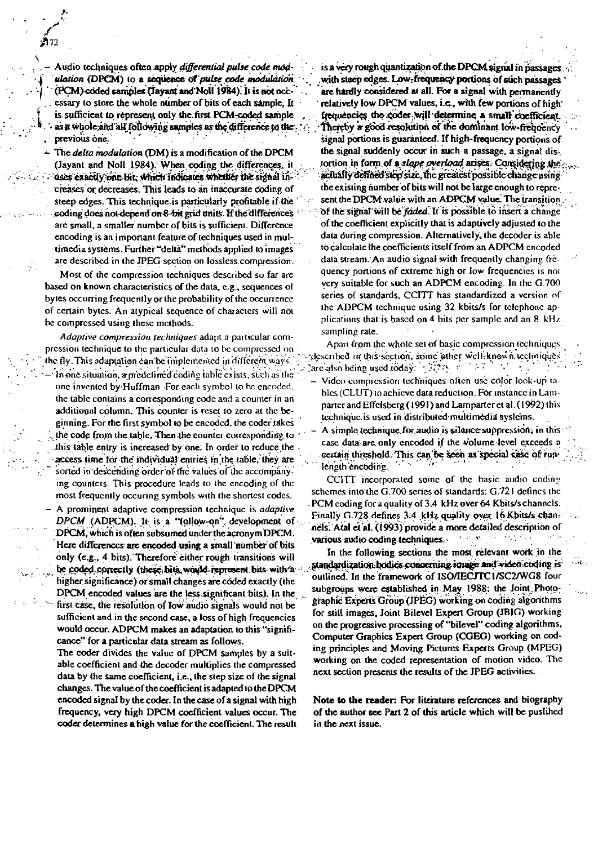Audio techniques often apply differential pulse code modulation (DPCM) to a sequence of pulse code modulation (PCM) coded samples (Jayant and Noll 1984). It is not necessary to store the whole number of bits of each sample, It is sufficient to represent only the first PCM-coded sample as a whole and all following samples as the difference to the. previous one.

The delta modulation (DM) is a modification of the DPCM (Jayant and Noll 1984). When coding the differences, it uses exactly one bit, which indicates whether the signal increases or decreases. This leads to an inaccurate coding of steep edges. This technique is particularly profitable if the coding does not depend on 8-bit grid units. If the differences are small, a smaller number of bits is sufficient. Difference encoding is an important feature of techniques used in multimedia systems. Further "delta" methods applied to images are described in the JPEG section on lossless compression. Most of the compression techniques described so far are based on known characteristics of the data, e.g., sequences of bytes occurring frequently or the probability of the occurrence of certain bytes. An atypical sequence of characters will not

be compressed using these methods. Adaptive compression techniques adapt a particular compression technique to the particular data to be compressed on the fly. This adaptation can be implemented in different ways: In one situation, a predefined coding table exists, such as the one invented by Huffman. For each symbol to be encoded, the table contains a corresponding code and a counter in an additional column. This counter is reset to zero at the beginning. For the first symbol to be encoded, the coder takes the code from the table. Then the counter corresponding to this table entry is increased by one. In order to reduce the access time for the individual entries in the table, they are sorted in descending order of the values of the accompanying counters. This procedure leads to the encoding of the most frequently occuring symbols with the shortest codes.

A prominent adaptive compression technique is adaptive DPCM (ADPCM). It is a "follow-on" development of DPCM, which is often subsumed under the acronym DPCM. Here differences are encoded using a small number of bits only (e.g., 4 bits). Therefore either rough transitions will be coded correctly (these bits would represent bits with a higher significance) or small changes are coded exactly (the DPCM encoded values are the less significant bits). In the first case, the resolution of low audio signals would not be sufficient and in the second case, a loss of high frequencies would occur. ADPCM makes an adaptation to this "significance" for a particular data stream as follows.

The coder divides the value of DPCM samples by a suitable coefficient and the decoder multiplies the compressed data by the same coefficient, i.e., the step size of the signal changes. The value of the coefficient is adapted to the DPCM encoded signal by the coder. In the case of a signal with high frequency, very high DPCM coefficient values occur. The coder determines a high value for the coefficient. The result is a very rough quantization of the DPCM signal in passages with steep edges. Low-frequency portions of such passages are hardly considered at all. For a signal with permanently relatively low DPCM values, i.e., with few portions of high' frequencies the coder will determine a small coefficient. Thereby a good resolution of the dominant low-frequency signal portions is guaranteed. If high-frequency portions of the signal suddenly occur in such a passage, a signal distortion in form of a *slope overload* arises. Considering the actually defined step size, the greatest possible change using the existing number of bits will not be large enough to represent the DPCM value with an ADPCM value. The transition of the signal will be *faded*. It is possible to insert a change of the coefficient explicitly that is adaptively adjusted to the data during compression. Alternatively, the decoder is able to calculate the coefficients itself from an ADPCM encoded data stream. An audio signal with frequently changing frequency portions of extreme high or low frequencies is not very suitable for such an ADPCM encoding. In the G.700 series of standards, CCITT has standardized a version of the ADPCM technique using 32 kbits/s for telephone applications that is based on 4 bits per sample and an 8 kHz sampling rate.

Apart from the whole set of basic compression techniques described in this section, some other well-known techniques are also being used today.  $\mathbb{R}^{7,7,6,16}$  $\mathcal{L}_{\mathcal{A}}$ 

- Video compression techniques often use color look-up tables (CLUT) to achieve data reduction. For instance in Lamparter and Effelsberg (1991) and Lamparter et al. (1992) this technique is used in distributed multimedia systems.
- A simple technique for audio is silence suppression; in this case data are only encoded if the volume level exceeds a certain threshold. This can be seen as special case of runlength encoding.

CCITT incorporated some of the basic audio coding schemes into the G.700 series of standards: G.721 defines the PCM coding for a quality of 3.4 kHz over 64 Kbits/s channels. Finally G.728 defines 3.4 kHz quality over 16 Kbits/s channels. Atal et al. (1993) provide a more detailed description of various audio coding techniques.

In the following sections the most relevant work in the standardization bodies concerning image and video coding is outlined. In the framework of ISO/IECJTC1/SC2/WG8 four subgroups were established in May 1988; the Joint Photographic Experts Group (JPEG) working on coding algorithms for still images, Joint Bilevel Expert Group (JBIG) working on the progressive processing of "bilevel" coding algorithms, Computer Graphics Expert Group (CGEG) working on coding principles and Moving Pictures Experts Group (MPEG) working on the coded representation of motion video. The next section presents the results of the JPEG activities.

Note to the reader: For literature references and biography of the author see Part 2 of this article which will be puslihed in the next issue.